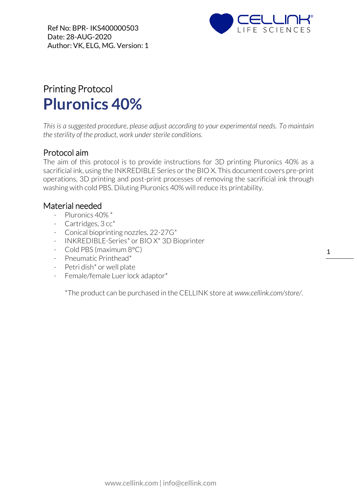

## Printing Protocol **Pluronics 40%**

*This is a suggested procedure, please adjust according to your experimental needs. To maintain the sterility of the product, work under sterile conditions.*

## Protocol aim

The aim of this protocol is to provide instructions for 3D printing Pluronics 40% as a sacrificial ink, using the INKREDIBLE Series or the BIO X. This document covers pre-print operations, 3D printing and post-print processes of removing the sacrificial ink through washing with cold PBS. Diluting Pluronics 40% will reduce its printability.

## Material needed

- Pluronics 40% \*
- Cartridges, 3 cc\*
- Conical bioprinting nozzles, 22-27G\*
- INKREDIBLE-Series\* or BIO X\* 3D Bioprinter
- Cold PBS (maximum  $8^{\circ}$ C)
- Pneumatic Printhead\*
- Petri dish\* or well plate
- Female/female Luer lock adaptor\*

\*The product can be purchased in the CELLINK store at *www.cellink.com/store/*.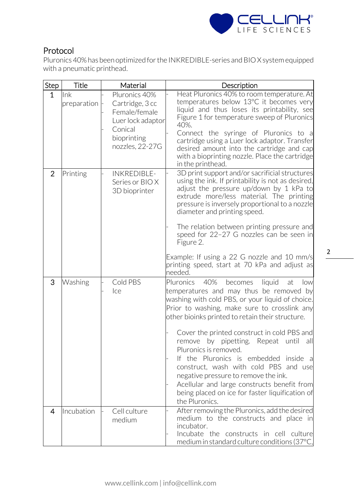

## Protocol

Pluronics 40% has been optimized for the INKREDIBLE-series and BIO X system equipped with a pneumatic printhead.

| Step           | <b>Title</b>          | Material                                                                                                            | Description                                                                                                                                                                                                                                                                                                                                                                                                                                                                                                                                                                                                                        |
|----------------|-----------------------|---------------------------------------------------------------------------------------------------------------------|------------------------------------------------------------------------------------------------------------------------------------------------------------------------------------------------------------------------------------------------------------------------------------------------------------------------------------------------------------------------------------------------------------------------------------------------------------------------------------------------------------------------------------------------------------------------------------------------------------------------------------|
| $\mathbf{1}$   | lnk<br>preparation  - | Pluronics 40%<br>Cartridge, 3 cc<br>Female/female<br>Luer lock adaptor<br>Conical<br>bioprinting<br>nozzles, 22-27G | Heat Pluronics 40% to room temperature. At<br>temperatures below 13°C it becomes very<br>liquid and thus loses its printability, see<br>Figure 1 for temperature sweep of Pluronics<br>40%.<br>Connect the syringe of Pluronics to a<br>cartridge using a Luer lock adaptor. Transfer<br>desired amount into the cartridge and cap<br>with a bioprinting nozzle. Place the cartridge<br>in the printhead.                                                                                                                                                                                                                          |
| $\overline{2}$ | Printing              | <b>INKREDIBLE-</b><br>Series or BIO X<br>3D bioprinter                                                              | 3D print support and/or sacrificial structures<br>using the ink. If printability is not as desired,<br>adjust the pressure up/down by 1 kPa to<br>extrude more/less material. The printing<br>pressure is inversely proportional to a nozzle<br>diameter and printing speed.<br>The relation between printing pressure and<br>speed for 22-27 G nozzles can be seen in<br>Figure 2.<br>Example: If using a 22 G nozzle and 10 mm/s<br>printing speed, start at 70 kPa and adjust as<br>needed.                                                                                                                                     |
| 3              | Washing               | Cold PBS<br>Ice                                                                                                     | 40%<br>becomes<br>liquid<br><b>Pluronics</b><br>at<br>low<br>temperatures and may thus be removed by<br>washing with cold PBS, or your liquid of choice.<br>Prior to washing, make sure to crosslink any<br>other bioinks printed to retain their structure.<br>Cover the printed construct in cold PBS and<br>remove by pipetting. Repeat until<br>all<br>Pluronics is removed.<br>the Pluronics is embedded inside a<br>If.<br>construct, wash with cold PBS and use<br>negative pressure to remove the ink.<br>Acellular and large constructs benefit from<br>being placed on ice for faster liquification of<br>the Pluronics. |
| 4              | Incubation            | Cell culture<br>medium                                                                                              | After removing the Pluronics, add the desired<br>medium to the constructs and place in<br>incubator.<br>Incubate the constructs in cell culture<br>medium in standard culture conditions (37 $^{\circ}$ C,                                                                                                                                                                                                                                                                                                                                                                                                                         |

2